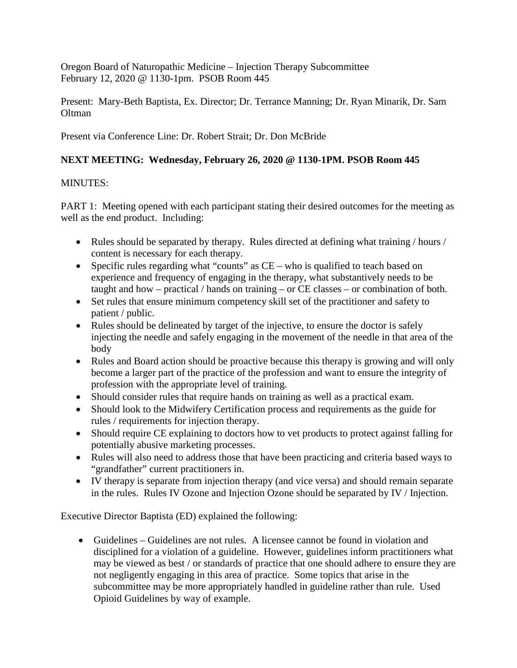Oregon Board of Naturopathic Medicine – Injection Therapy Subcommittee February 12, 2020 @ 1130-1pm. PSOB Room 445

Present: Mary-Beth Baptista, Ex. Director; Dr. Terrance Manning; Dr. Ryan Minarik, Dr. Sam **Oltman** 

Present via Conference Line: Dr. Robert Strait; Dr. Don McBride

# **NEXT MEETING: Wednesday, February 26, 2020 @ 1130-1PM. PSOB Room 445**

### MINUTES:

PART 1: Meeting opened with each participant stating their desired outcomes for the meeting as well as the end product. Including:

- Rules should be separated by therapy. Rules directed at defining what training / hours / content is necessary for each therapy.
- Specific rules regarding what "counts" as  $CE -$  who is qualified to teach based on experience and frequency of engaging in the therapy, what substantively needs to be taught and how – practical / hands on training – or CE classes – or combination of both.
- Set rules that ensure minimum competency skill set of the practitioner and safety to patient / public.
- Rules should be delineated by target of the injective, to ensure the doctor is safely injecting the needle and safely engaging in the movement of the needle in that area of the body
- Rules and Board action should be proactive because this therapy is growing and will only become a larger part of the practice of the profession and want to ensure the integrity of profession with the appropriate level of training.
- Should consider rules that require hands on training as well as a practical exam.
- Should look to the Midwifery Certification process and requirements as the guide for rules / requirements for injection therapy.
- Should require CE explaining to doctors how to vet products to protect against falling for potentially abusive marketing processes.
- Rules will also need to address those that have been practicing and criteria based ways to "grandfather" current practitioners in.
- IV therapy is separate from injection therapy (and vice versa) and should remain separate in the rules. Rules IV Ozone and Injection Ozone should be separated by IV / Injection.

Executive Director Baptista (ED) explained the following:

• Guidelines – Guidelines are not rules. A licensee cannot be found in violation and disciplined for a violation of a guideline. However, guidelines inform practitioners what may be viewed as best / or standards of practice that one should adhere to ensure they are not negligently engaging in this area of practice. Some topics that arise in the subcommittee may be more appropriately handled in guideline rather than rule. Used Opioid Guidelines by way of example.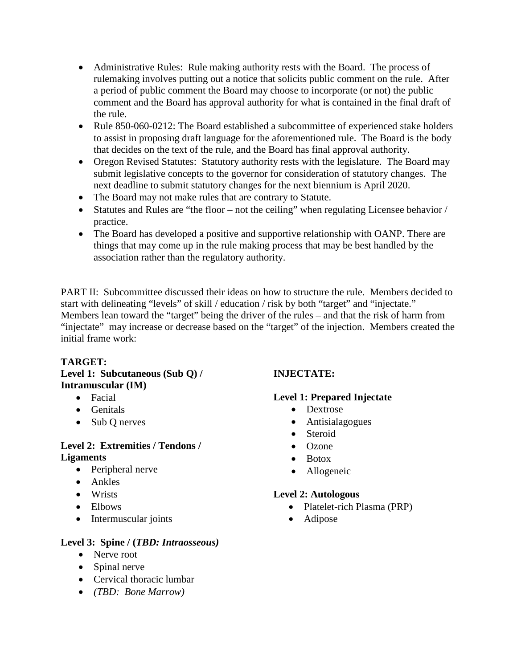- Administrative Rules: Rule making authority rests with the Board. The process of rulemaking involves putting out a notice that solicits public comment on the rule. After a period of public comment the Board may choose to incorporate (or not) the public comment and the Board has approval authority for what is contained in the final draft of the rule.
- Rule 850-060-0212: The Board established a subcommittee of experienced stake holders to assist in proposing draft language for the aforementioned rule. The Board is the body that decides on the text of the rule, and the Board has final approval authority.
- Oregon Revised Statutes: Statutory authority rests with the legislature. The Board may submit legislative concepts to the governor for consideration of statutory changes. The next deadline to submit statutory changes for the next biennium is April 2020.
- The Board may not make rules that are contrary to Statute.
- Statutes and Rules are "the floor not the ceiling" when regulating Licensee behavior / practice.
- The Board has developed a positive and supportive relationship with OANP. There are things that may come up in the rule making process that may be best handled by the association rather than the regulatory authority.

PART II: Subcommittee discussed their ideas on how to structure the rule. Members decided to start with delineating "levels" of skill / education / risk by both "target" and "injectate." Members lean toward the "target" being the driver of the rules – and that the risk of harm from "injectate" may increase or decrease based on the "target" of the injection. Members created the initial frame work:

# **TARGET:**

### **Level 1: Subcutaneous (Sub Q) / Intramuscular (IM)**

- Facial
- Genitals
- Sub Q nerves

### **Level 2: Extremities / Tendons / Ligaments**

- Peripheral nerve
- Ankles
- Wrists
- Elbows
- Intermuscular joints

# **Level 3: Spine / (***TBD: Intraosseous)*

- Nerve root
- Spinal nerve
- Cervical thoracic lumbar
- *(TBD: Bone Marrow)*

# **INJECTATE:**

# **Level 1: Prepared Injectate**

- Dextrose
- Antisialagogues
- Steroid
- Ozone
- Botox
- Allogeneic

# **Level 2: Autologous**

- Platelet-rich Plasma (PRP)
- Adipose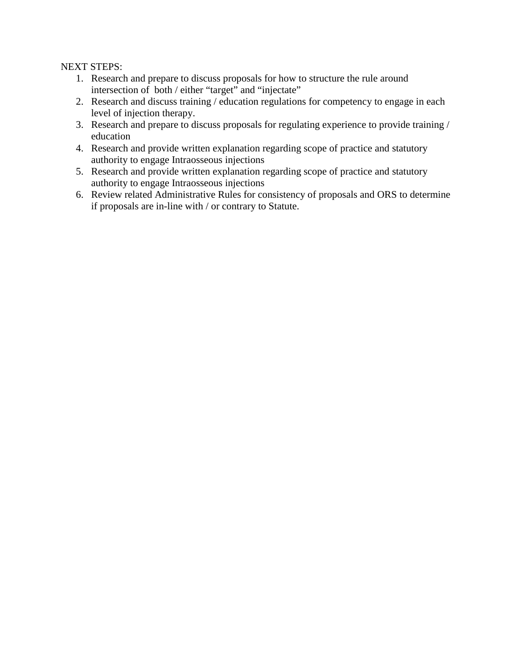NEXT STEPS:

- 1. Research and prepare to discuss proposals for how to structure the rule around intersection of both / either "target" and "injectate"
- 2. Research and discuss training / education regulations for competency to engage in each level of injection therapy.
- 3. Research and prepare to discuss proposals for regulating experience to provide training / education
- 4. Research and provide written explanation regarding scope of practice and statutory authority to engage Intraosseous injections
- 5. Research and provide written explanation regarding scope of practice and statutory authority to engage Intraosseous injections
- 6. Review related Administrative Rules for consistency of proposals and ORS to determine if proposals are in-line with / or contrary to Statute.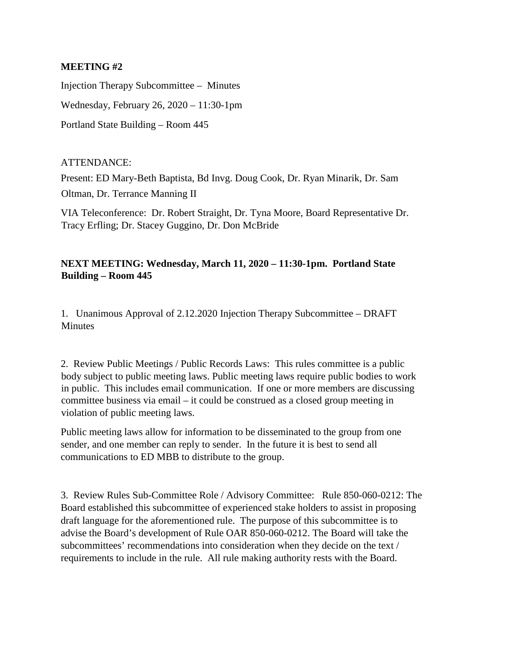#### **MEETING #2**

Injection Therapy Subcommittee – Minutes Wednesday, February 26, 2020 – 11:30-1pm Portland State Building – Room 445

#### ATTENDANCE:

Present: ED Mary-Beth Baptista, Bd Invg. Doug Cook, Dr. Ryan Minarik, Dr. Sam Oltman, Dr. Terrance Manning II

VIA Teleconference: Dr. Robert Straight, Dr. Tyna Moore, Board Representative Dr. Tracy Erfling; Dr. Stacey Guggino, Dr. Don McBride

### **NEXT MEETING: Wednesday, March 11, 2020 – 11:30-1pm. Portland State Building – Room 445**

1. Unanimous Approval of 2.12.2020 Injection Therapy Subcommittee – DRAFT **Minutes** 

2. Review Public Meetings / Public Records Laws: This rules committee is a public body subject to public meeting laws. Public meeting laws require public bodies to work in public. This includes email communication. If one or more members are discussing committee business via email – it could be construed as a closed group meeting in violation of public meeting laws.

Public meeting laws allow for information to be disseminated to the group from one sender, and one member can reply to sender. In the future it is best to send all communications to ED MBB to distribute to the group.

3. Review Rules Sub-Committee Role / Advisory Committee: Rule 850-060-0212: The Board established this subcommittee of experienced stake holders to assist in proposing draft language for the aforementioned rule. The purpose of this subcommittee is to advise the Board's development of Rule OAR 850-060-0212. The Board will take the subcommittees' recommendations into consideration when they decide on the text / requirements to include in the rule. All rule making authority rests with the Board.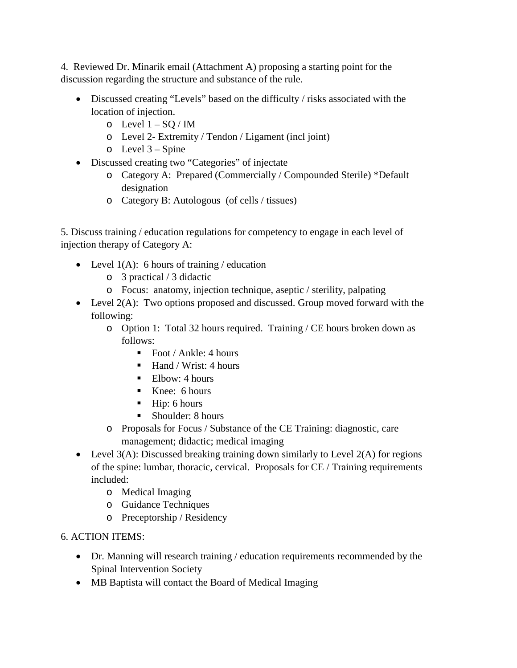4. Reviewed Dr. Minarik email (Attachment A) proposing a starting point for the discussion regarding the structure and substance of the rule.

- Discussed creating "Levels" based on the difficulty / risks associated with the location of injection.
	- $\circ$  Level  $1 SQ / IM$
	- o Level 2- Extremity / Tendon / Ligament (incl joint)
	- $\circ$  Level 3 Spine
- Discussed creating two "Categories" of injectate
	- o Category A: Prepared (Commercially / Compounded Sterile) \*Default designation
	- o Category B: Autologous (of cells / tissues)

5. Discuss training / education regulations for competency to engage in each level of injection therapy of Category A:

- Level  $1(A)$ : 6 hours of training / education
	- o 3 practical / 3 didactic
	- o Focus: anatomy, injection technique, aseptic / sterility, palpating
- Level  $2(A)$ : Two options proposed and discussed. Group moved forward with the following:
	- o Option 1: Total 32 hours required. Training / CE hours broken down as follows:
		- Foot / Ankle: 4 hours
		- $\blacksquare$  Hand / Wrist: 4 hours
		- Elbow:  $4 \text{ hours}$
		- Knee: 6 hours
		- $\blacksquare$  Hip: 6 hours
		- Shoulder: 8 hours
	- o Proposals for Focus / Substance of the CE Training: diagnostic, care management; didactic; medical imaging
- Level  $3(A)$ : Discussed breaking training down similarly to Level  $2(A)$  for regions of the spine: lumbar, thoracic, cervical. Proposals for CE / Training requirements included:
	- o Medical Imaging
	- o Guidance Techniques
	- o Preceptorship / Residency

6. ACTION ITEMS:

- Dr. Manning will research training / education requirements recommended by the Spinal Intervention Society
- MB Baptista will contact the Board of Medical Imaging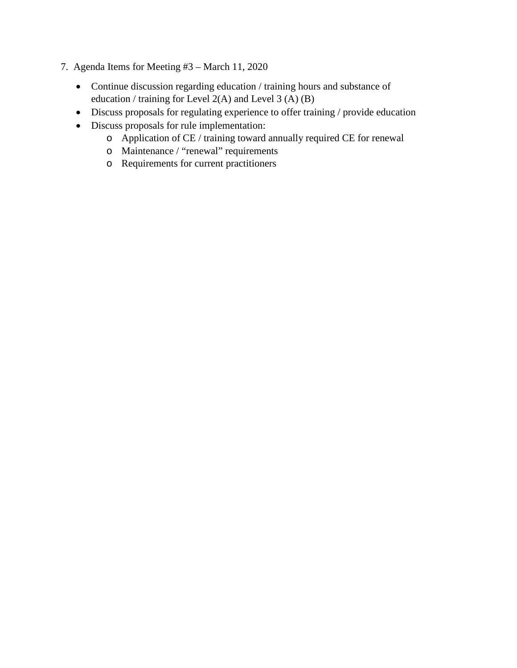- 7. Agenda Items for Meeting #3 March 11, 2020
	- Continue discussion regarding education / training hours and substance of education / training for Level 2(A) and Level 3 (A) (B)
	- Discuss proposals for regulating experience to offer training / provide education
	- Discuss proposals for rule implementation:
		- o Application of CE / training toward annually required CE for renewal
		- o Maintenance / "renewal" requirements
		- o Requirements for current practitioners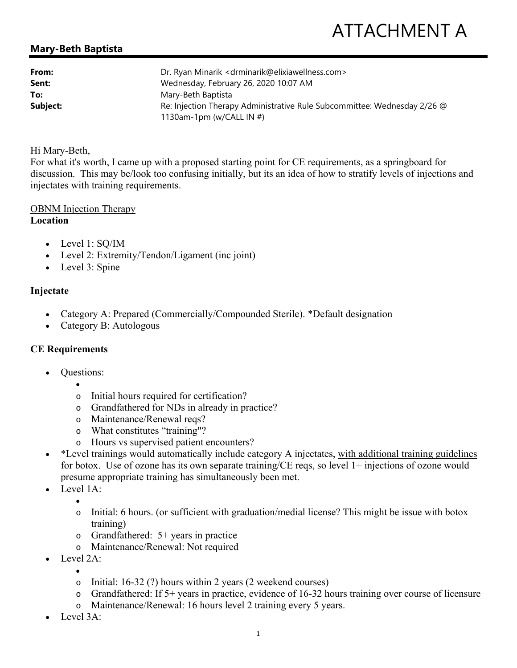# **Mary-Beth Baptista**

| From:    | Dr. Ryan Minarik < drminarik@elixiawellness.com>                         |
|----------|--------------------------------------------------------------------------|
| Sent:    | Wednesday, February 26, 2020 10:07 AM                                    |
| To:      | Mary-Beth Baptista                                                       |
| Subject: | Re: Injection Therapy Administrative Rule Subcommittee: Wednesday 2/26 @ |
|          | 1130am-1pm (w/CALL IN #)                                                 |

#### Hi Mary-Beth,

For what it's worth, I came up with a proposed starting point for CE requirements, as a springboard for discussion. This may be/look too confusing initially, but its an idea of how to stratify levels of injections and injectates with training requirements.

# OBNM Injection Therapy

#### **Location**

- Level 1: SQ/IM
- Level 2: Extremity/Tendon/Ligament (inc joint)
- Level 3: Spine

### **Injectate**

- Category A: Prepared (Commercially/Compounded Sterile). \*Default designation
- Category B: Autologous

### **CE Requirements**

- Questions:
	- $\bullet$ 
		- o Initial hours required for certification?
		- o Grandfathered for NDs in already in practice?
		- o Maintenance/Renewal reqs?
		- o What constitutes "training"?
		- o Hours vs supervised patient encounters?
- \* Level trainings would automatically include category A injectates, with additional training guidelines for botox. Use of ozone has its own separate training/CE reqs, so level 1+ injections of ozone would presume appropriate training has simultaneously been met.
- Level 1A:
	- $\bullet$
	- o Initial: 6 hours. (or sufficient with graduation/medial license? This might be issue with botox training)
	- o Grandfathered: 5+ years in practice
	- o Maintenance/Renewal: Not required
- Level 2A:
	- $\bullet$ o Initial: 16-32 (?) hours within 2 years (2 weekend courses)
	- o Grandfathered: If 5+ years in practice, evidence of 16-32 hours training over course of licensure
	- o Maintenance/Renewal: 16 hours level 2 training every 5 years.
- Level 3A: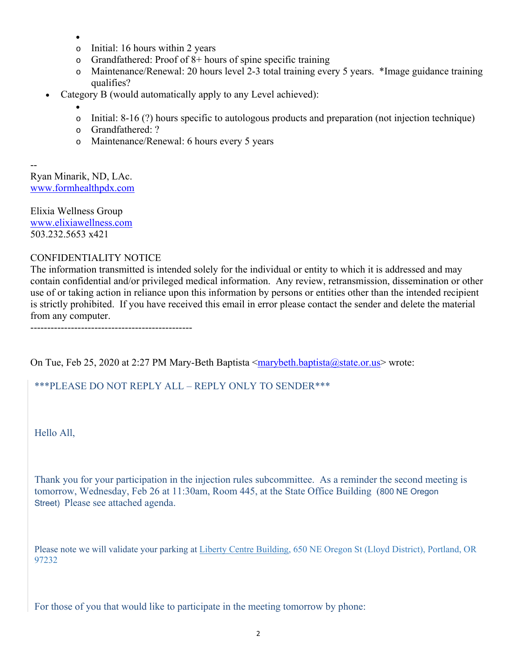- $\bullet$
- o Initial: 16 hours within 2 years
- $\circ$  Grandfathered: Proof of 8+ hours of spine specific training
- o Maintenance/Renewal: 20 hours level 2-3 total training every 5 years. \*Image guidance training qualifies?
- Category B (would automatically apply to any Level achieved):
	- $\bullet$
	- $\circ$  Initial: 8-16 (?) hours specific to autologous products and preparation (not injection technique)
	- o Grandfathered: ?
	- o Maintenance/Renewal: 6 hours every 5 years

-- Ryan Minarik, ND, LAc. www.formhealthpdx.com

Elixia Wellness Group www.elixiawellness.com 503.232.5653 x421

#### CONFIDENTIALITY NOTICE

The information transmitted is intended solely for the individual or entity to which it is addressed and may contain confidential and/or privileged medical information. Any review, retransmission, dissemination or other use of or taking action in reliance upon this information by persons or entities other than the intended recipient is strictly prohibited. If you have received this email in error please contact the sender and delete the material from any computer.

------------------------------------------------

On Tue, Feb 25, 2020 at 2:27 PM Mary-Beth Baptista <marybeth.baptista@state.or.us> wrote:

### \*\*\*PLEASE DO NOT REPLY ALL – REPLY ONLY TO SENDER\*\*\*

Hello All,

Thank you for your participation in the injection rules subcommittee. As a reminder the second meeting is tomorrow, Wednesday, Feb 26 at 11:30am, Room 445, at the State Office Building (800 NE Oregon Street) Please see attached agenda.

Please note we will validate your parking at Liberty Centre Building, 650 NE Oregon St (Lloyd District), Portland, OR 97232

For those of you that would like to participate in the meeting tomorrow by phone: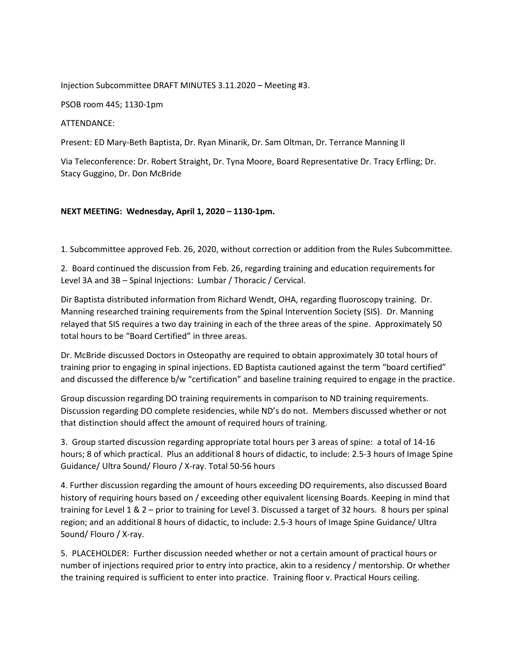#### Injection Subcommittee DRAFT MINUTES 3.11.2020 – Meeting #3.

PSOB room 445; 1130-1pm

#### ATTENDANCE:

Present: ED Mary-Beth Baptista, Dr. Ryan Minarik, Dr. Sam Oltman, Dr. Terrance Manning II

Via Teleconference: Dr. Robert Straight, Dr. Tyna Moore, Board Representative Dr. Tracy Erfling; Dr. Stacy Guggino, Dr. Don McBride

#### **NEXT MEETING: Wednesday, April 1, 2020 – 1130-1pm.**

1. Subcommittee approved Feb. 26, 2020, without correction or addition from the Rules Subcommittee.

2. Board continued the discussion from Feb. 26, regarding training and education requirements for Level 3A and 3B – Spinal Injections: Lumbar / Thoracic / Cervical.

Dir Baptista distributed information from Richard Wendt, OHA, regarding fluoroscopy training. Dr. Manning researched training requirements from the Spinal Intervention Society (SIS). Dr. Manning relayed that SIS requires a two day training in each of the three areas of the spine. Approximately 50 total hours to be "Board Certified" in three areas.

Dr. McBride discussed Doctors in Osteopathy are required to obtain approximately 30 total hours of training prior to engaging in spinal injections. ED Baptista cautioned against the term "board certified" and discussed the difference b/w "certification" and baseline training required to engage in the practice.

Group discussion regarding DO training requirements in comparison to ND training requirements. Discussion regarding DO complete residencies, while ND's do not. Members discussed whether or not that distinction should affect the amount of required hours of training.

3. Group started discussion regarding appropriate total hours per 3 areas of spine: a total of 14-16 hours; 8 of which practical. Plus an additional 8 hours of didactic, to include: 2.5-3 hours of Image Spine Guidance/ Ultra Sound/ Flouro / X-ray. Total 50-56 hours

4. Further discussion regarding the amount of hours exceeding DO requirements, also discussed Board history of requiring hours based on / exceeding other equivalent licensing Boards. Keeping in mind that training for Level 1 & 2 – prior to training for Level 3. Discussed a target of 32 hours. 8 hours per spinal region; and an additional 8 hours of didactic, to include: 2.5-3 hours of Image Spine Guidance/ Ultra Sound/ Flouro / X-ray.

5. PLACEHOLDER: Further discussion needed whether or not a certain amount of practical hours or number of injections required prior to entry into practice, akin to a residency / mentorship. Or whether the training required is sufficient to enter into practice. Training floor v. Practical Hours ceiling.